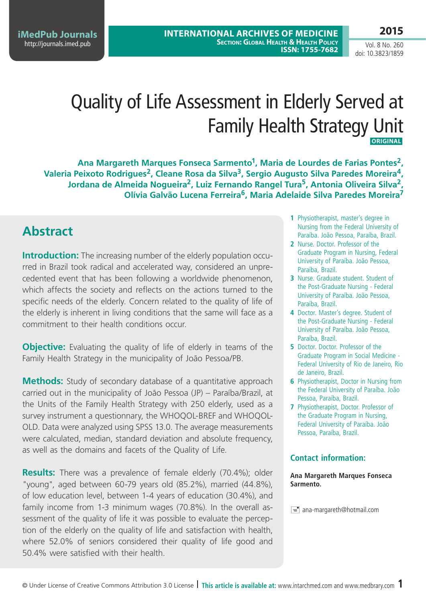**International Archives of Medicine SECTION: GLOBAL HEALTH & HEALTH POLICY ISSN: 1755-7682**

Vol. 8 No. 260

**2015**

# doi: 10.3823/1859

## Quality of Life Assessment in Elderly Served at Family Health Strategy Unit **Original**

Ana Margareth Marques Fonseca Sarmento<sup>1</sup>, Maria de Lourdes de Farias Pontes<sup>2</sup>, **Valeria Peixoto Rodrigues2, Cleane Rosa da Silva3, Sergio Augusto Silva Paredes Moreira4, Jordana de Almeida Nogueira2, Luiz Fernando Rangel Tura5, Antonia Oliveira Silva2, Olívia Galvão Lucena Ferreira6, Maria Adelaide Silva Paredes Moreira7**

### **Abstract**

**Introduction:** The increasing number of the elderly population occurred in Brazil took radical and accelerated way, considered an unprecedented event that has been following a worldwide phenomenon, which affects the society and reflects on the actions turned to the specific needs of the elderly. Concern related to the quality of life of the elderly is inherent in living conditions that the same will face as a commitment to their health conditions occur.

**Objective:** Evaluating the quality of life of elderly in teams of the Family Health Strategy in the municipality of João Pessoa/PB.

**Methods:** Study of secondary database of a quantitative approach carried out in the municipality of João Pessoa (JP) – Paraíba/Brazil, at the Units of the Family Health Strategy with 250 elderly, used as a survey instrument a questionnary, the WHOQOL-BREF and WHOQOL-OLD. Data were analyzed using SPSS 13.0. The average measurements were calculated, median, standard deviation and absolute frequency, as well as the domains and facets of the Quality of Life.

**Results:** There was a prevalence of female elderly (70.4%); older "young", aged between 60-79 years old (85.2%), married (44.8%), of low education level, between 1-4 years of education (30.4%), and family income from 1-3 minimum wages (70.8%). In the overall assessment of the quality of life it was possible to evaluate the perception of the elderly on the quality of life and satisfaction with health, where 52.0% of seniors considered their quality of life good and 50.4% were satisfied with their health.

- **1** Physiotherapist, master's degree in Nursing from the Federal University of Paraíba. João Pessoa, Paraíba, Brazil.
- **2** Nurse. Doctor. Professor of the Graduate Program in Nursing, Federal University of Paraíba. João Pessoa, Paraíba, Brazil.
- **3** Nurse. Graduate student. Student of the Post-Graduate Nursing - Federal University of Paraíba. João Pessoa, Paraíba, Brazil.
- **4** Doctor. Master's degree. Student of the Post-Graduate Nursing - Federal University of Paraíba. João Pessoa, Paraíba, Brazil.
- **5** Doctor. Doctor. Professor of the Graduate Program in Social Medicine - Federal University of Rio de Janeiro, Rio de Janeiro, Brazil.
- **6** Physiotherapist, Doctor in Nursing from the Federal University of Paraíba. João Pessoa, Paraíba, Brazil.
- **7** Physiotherapist, Doctor. Professor of the Graduate Program in Nursing, Federal University of Paraíba. João Pessoa, Paraíba, Brazil.

#### **Contact information:**

**Ana Margareth Marques Fonseca Sarmento.**

 $\equiv$  ana-margareth@hotmail.com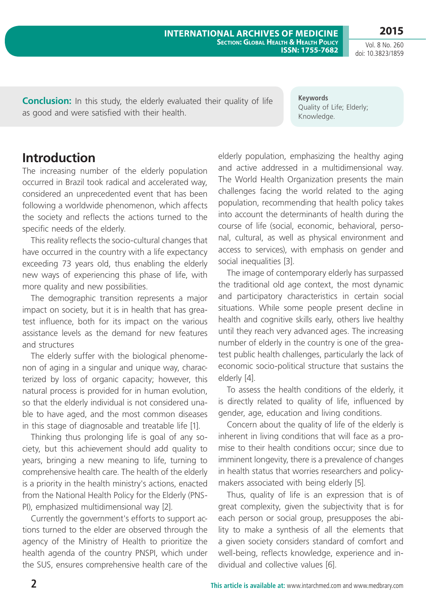**2015**

**Conclusion:** In this study, the elderly evaluated their quality of life as good and were satisfied with their health.

> elderly population, emphasizing the healthy aging and active addressed in a multidimensional way. The World Health Organization presents the main challenges facing the world related to the aging population, recommending that health policy takes into account the determinants of health during the course of life (social, economic, behavioral, personal, cultural, as well as physical environment and access to services), with emphasis on gender and social inequalities [3].

**Keywords**

Knowledge.

Quality of Life; Elderly;

The image of contemporary elderly has surpassed the traditional old age context, the most dynamic and participatory characteristics in certain social situations. While some people present decline in health and cognitive skills early, others live healthy until they reach very advanced ages. The increasing number of elderly in the country is one of the greatest public health challenges, particularly the lack of economic socio-political structure that sustains the elderly [4].

To assess the health conditions of the elderly, it is directly related to quality of life, influenced by gender, age, education and living conditions.

Concern about the quality of life of the elderly is inherent in living conditions that will face as a promise to their health conditions occur; since due to imminent longevity, there is a prevalence of changes in health status that worries researchers and policymakers associated with being elderly [5].

Thus, quality of life is an expression that is of great complexity, given the subjectivity that is for each person or social group, presupposes the ability to make a synthesis of all the elements that a given society considers standard of comfort and well-being, reflects knowledge, experience and individual and collective values [6].

### **Introduction**

The increasing number of the elderly population occurred in Brazil took radical and accelerated way, considered an unprecedented event that has been following a worldwide phenomenon, which affects the society and reflects the actions turned to the specific needs of the elderly.

This reality reflects the socio-cultural changes that have occurred in the country with a life expectancy exceeding 73 years old, thus enabling the elderly new ways of experiencing this phase of life, with more quality and new possibilities.

The demographic transition represents a major impact on society, but it is in health that has greatest influence, both for its impact on the various assistance levels as the demand for new features and structures

The elderly suffer with the biological phenomenon of aging in a singular and unique way, characterized by loss of organic capacity; however, this natural process is provided for in human evolution, so that the elderly individual is not considered unable to have aged, and the most common diseases in this stage of diagnosable and treatable life [1].

Thinking thus prolonging life is goal of any society, but this achievement should add quality to years, bringing a new meaning to life, turning to comprehensive health care. The health of the elderly is a priority in the health ministry's actions, enacted from the National Health Policy for the Elderly (PNS-PI), emphasized multidimensional way [2].

Currently the government's efforts to support actions turned to the elder are observed through the agency of the Ministry of Health to prioritize the health agenda of the country PNSPI, which under the SUS, ensures comprehensive health care of the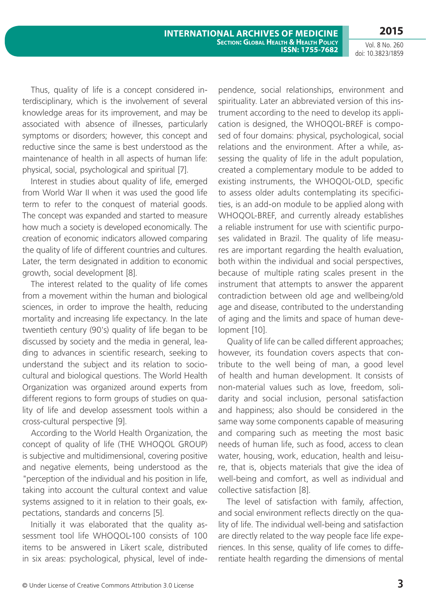Vol. 8 No. 260 doi: 10.3823/1859

Thus, quality of life is a concept considered interdisciplinary, which is the involvement of several knowledge areas for its improvement, and may be associated with absence of illnesses, particularly symptoms or disorders; however, this concept and reductive since the same is best understood as the maintenance of health in all aspects of human life: physical, social, psychological and spiritual [7].

Interest in studies about quality of life, emerged from World War II when it was used the good life term to refer to the conquest of material goods. The concept was expanded and started to measure how much a society is developed economically. The creation of economic indicators allowed comparing the quality of life of different countries and cultures. Later, the term designated in addition to economic growth, social development [8].

The interest related to the quality of life comes from a movement within the human and biological sciences, in order to improve the health, reducing mortality and increasing life expectancy. In the late twentieth century (90's) quality of life began to be discussed by society and the media in general, leading to advances in scientific research, seeking to understand the subject and its relation to sociocultural and biological questions. The World Health Organization was organized around experts from different regions to form groups of studies on quality of life and develop assessment tools within a cross-cultural perspective [9].

According to the World Health Organization, the concept of quality of life (THE WHOQOL GROUP) is subjective and multidimensional, covering positive and negative elements, being understood as the "perception of the individual and his position in life, taking into account the cultural context and value systems assigned to it in relation to their goals, expectations, standards and concerns [5].

Initially it was elaborated that the quality assessment tool life WHOQOL-100 consists of 100 items to be answered in Likert scale, distributed in six areas: psychological, physical, level of independence, social relationships, environment and spirituality. Later an abbreviated version of this instrument according to the need to develop its application is designed, the WHOQOL-BREF is composed of four domains: physical, psychological, social relations and the environment. After a while, assessing the quality of life in the adult population, created a complementary module to be added to existing instruments, the WHOQOL-OLD, specific to assess older adults contemplating its specificities, is an add-on module to be applied along with WHOQOL-BREF, and currently already establishes a reliable instrument for use with scientific purposes validated in Brazil. The quality of life measures are important regarding the health evaluation, both within the individual and social perspectives, because of multiple rating scales present in the instrument that attempts to answer the apparent contradiction between old age and wellbeing/old age and disease, contributed to the understanding of aging and the limits and space of human development [10].

Quality of life can be called different approaches; however, its foundation covers aspects that contribute to the well being of man, a good level of health and human development. It consists of non-material values such as love, freedom, solidarity and social inclusion, personal satisfaction and happiness; also should be considered in the same way some components capable of measuring and comparing such as meeting the most basic needs of human life, such as food, access to clean water, housing, work, education, health and leisure, that is, objects materials that give the idea of well-being and comfort, as well as individual and collective satisfaction [8].

The level of satisfaction with family, affection, and social environment reflects directly on the quality of life. The individual well-being and satisfaction are directly related to the way people face life experiences. In this sense, quality of life comes to differentiate health regarding the dimensions of mental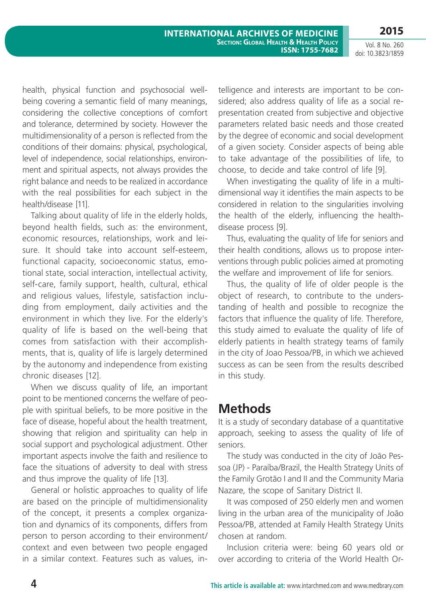Vol. 8 No. 260 doi: 10.3823/1859

health, physical function and psychosocial wellbeing covering a semantic field of many meanings, considering the collective conceptions of comfort and tolerance, determined by society. However the multidimensionality of a person is reflected from the conditions of their domains: physical, psychological, level of independence, social relationships, environment and spiritual aspects, not always provides the right balance and needs to be realized in accordance with the real possibilities for each subject in the health/disease [11].

Talking about quality of life in the elderly holds, beyond health fields, such as: the environment, economic resources, relationships, work and leisure. It should take into account self-esteem, functional capacity, socioeconomic status, emotional state, social interaction, intellectual activity, self-care, family support, health, cultural, ethical and religious values, lifestyle, satisfaction including from employment, daily activities and the environment in which they live. For the elderly's quality of life is based on the well-being that comes from satisfaction with their accomplishments, that is, quality of life is largely determined by the autonomy and independence from existing chronic diseases [12].

When we discuss quality of life, an important point to be mentioned concerns the welfare of people with spiritual beliefs, to be more positive in the face of disease, hopeful about the health treatment, showing that religion and spirituality can help in social support and psychological adjustment. Other important aspects involve the faith and resilience to face the situations of adversity to deal with stress and thus improve the quality of life [13].

General or holistic approaches to quality of life are based on the principle of multidimensionality of the concept, it presents a complex organization and dynamics of its components, differs from person to person according to their environment/ context and even between two people engaged in a similar context. Features such as values, intelligence and interests are important to be considered; also address quality of life as a social representation created from subjective and objective parameters related basic needs and those created by the degree of economic and social development of a given society. Consider aspects of being able to take advantage of the possibilities of life, to choose, to decide and take control of life [9].

When investigating the quality of life in a multidimensional way it identifies the main aspects to be considered in relation to the singularities involving the health of the elderly, influencing the healthdisease process [9].

Thus, evaluating the quality of life for seniors and their health conditions, allows us to propose interventions through public policies aimed at promoting the welfare and improvement of life for seniors.

Thus, the quality of life of older people is the object of research, to contribute to the understanding of health and possible to recognize the factors that influence the quality of life. Therefore, this study aimed to evaluate the quality of life of elderly patients in health strategy teams of family in the city of Joao Pessoa/PB, in which we achieved success as can be seen from the results described in this study.

### **Methods**

It is a study of secondary database of a quantitative approach, seeking to assess the quality of life of seniors.

The study was conducted in the city of João Pessoa (JP) - Paraíba/Brazil, the Health Strategy Units of the Family Grotão I and II and the Community Maria Nazare, the scope of Sanitary District II.

It was composed of 250 elderly men and women living in the urban area of the municipality of João Pessoa/PB, attended at Family Health Strategy Units chosen at random.

Inclusion criteria were: being 60 years old or over according to criteria of the World Health Or-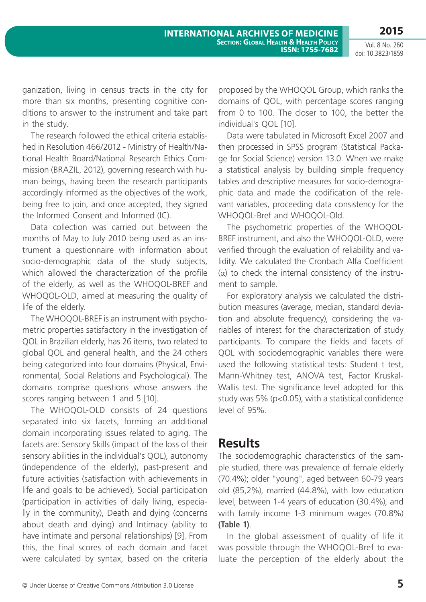Vol. 8 No. 260 doi: 10.3823/1859

ganization, living in census tracts in the city for more than six months, presenting cognitive conditions to answer to the instrument and take part in the study.

The research followed the ethical criteria established in Resolution 466/2012 - Ministry of Health/National Health Board/National Research Ethics Commission (BRAZIL, 2012), governing research with human beings, having been the research participants accordingly informed as the objectives of the work, being free to join, and once accepted, they signed the Informed Consent and Informed (IC).

Data collection was carried out between the months of May to July 2010 being used as an instrument a questionnaire with information about socio-demographic data of the study subjects, which allowed the characterization of the profile of the elderly, as well as the WHOQOL-BREF and WHOQOL-OLD, aimed at measuring the quality of life of the elderly.

The WHOQOL-BREF is an instrument with psychometric properties satisfactory in the investigation of QOL in Brazilian elderly, has 26 items, two related to global QOL and general health, and the 24 others being categorized into four domains (Physical, Environmental, Social Relations and Psychological). The domains comprise questions whose answers the scores ranging between 1 and 5 [10].

The WHOQOL-OLD consists of 24 questions separated into six facets, forming an additional domain incorporating issues related to aging. The facets are: Sensory Skills (impact of the loss of their sensory abilities in the individual's QOL), autonomy (independence of the elderly), past-present and future activities (satisfaction with achievements in life and goals to be achieved), Social participation (participation in activities of daily living, especially in the community), Death and dying (concerns about death and dying) and Intimacy (ability to have intimate and personal relationships) [9]. From this, the final scores of each domain and facet were calculated by syntax, based on the criteria

proposed by the WHOQOL Group, which ranks the domains of QOL, with percentage scores ranging from 0 to 100. The closer to 100, the better the individual's QOL [10].

Data were tabulated in Microsoft Excel 2007 and then processed in SPSS program (Statistical Package for Social Science) version 13.0. When we make a statistical analysis by building simple frequency tables and descriptive measures for socio-demographic data and made the codification of the relevant variables, proceeding data consistency for the WHOQOL-Bref and WHOQOL-Old.

The psychometric properties of the WHOQOL-BREF instrument, and also the WHOQOL-OLD, were verified through the evaluation of reliability and validity. We calculated the Cronbach Alfa Coefficient (α) to check the internal consistency of the instrument to sample.

For exploratory analysis we calculated the distribution measures (average, median, standard deviation and absolute frequency), considering the variables of interest for the characterization of study participants. To compare the fields and facets of QOL with sociodemographic variables there were used the following statistical tests: Student t test, Mann-Whitney test, ANOVA test, Factor Kruskal-Wallis test. The significance level adopted for this study was 5% (p<0.05), with a statistical confidence level of 95%.

#### **Results**

The sociodemographic characteristics of the sample studied, there was prevalence of female elderly (70.4%); older "young", aged between 60-79 years old (85,2%), married (44.8%), with low education level, between 1-4 years of education (30.4%), and with family income 1-3 minimum wages (70.8%) **(Table 1)**.

In the global assessment of quality of life it was possible through the WHOQOL-Bref to evaluate the perception of the elderly about the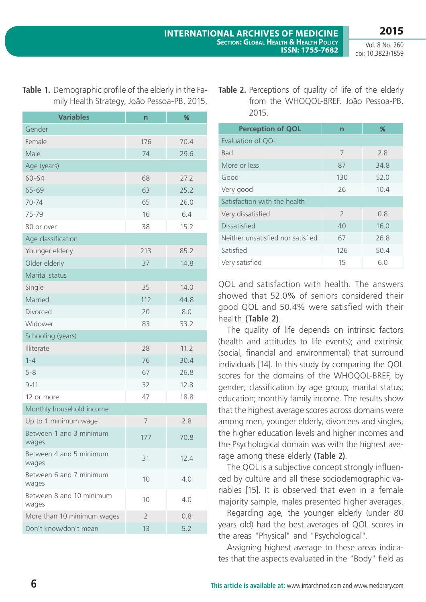|  | Table 1. Demographic profile of the elderly in the Fa- |
|--|--------------------------------------------------------|
|  | mily Health Strategy, João Pessoa-PB. 2015.            |

| <b>Variables</b>                  | n              | %    |
|-----------------------------------|----------------|------|
| Gender                            |                |      |
| Female                            | 176            | 70.4 |
| Male                              | 74             | 29.6 |
| Age (years)                       |                |      |
| 60-64                             | 68             | 27.2 |
| 65-69                             | 63             | 25.2 |
| 70-74                             | 65             | 26.0 |
| 75-79                             | 16             | 6.4  |
| 80 or over                        | 38             | 15.2 |
| Age classification                |                |      |
| Younger elderly                   | 213            | 85.2 |
| Older elderly                     | 37             | 14.8 |
| Marital status                    |                |      |
| Single                            | 35             | 14.0 |
| Married                           | 112            | 44.8 |
| Divorced                          | 20             | 8.0  |
| Widower                           | 83             | 33.2 |
| Schooling (years)                 |                |      |
| Illiterate                        | 28             | 11.2 |
| $1 - 4$                           | 76             | 30.4 |
| $5 - 8$                           | 67             | 26.8 |
| $9 - 11$                          | 32             | 12.8 |
| 12 or more                        | 47             | 18.8 |
| Monthly household income          |                |      |
| Up to 1 minimum wage              | 7              | 2.8  |
| Between 1 and 3 minimum<br>wages  | 177            | 70.8 |
| Between 4 and 5 minimum<br>wages  | 31             | 12.4 |
| Between 6 and 7 minimum<br>wages  | 10             | 4.0  |
| Between 8 and 10 minimum<br>wages | 10             | 4.0  |
| More than 10 minimum wages        | $\overline{2}$ | 0.8  |
| Don't know/don't mean             | 13             | 5.2  |

| <b>Table 2.</b> Perceptions of quality of life of the elderly |
|---------------------------------------------------------------|
| from the WHOQOL-BREF. João Pessoa-PB.                         |
| 2015.                                                         |

| <b>Perception of QOL</b>          | $\mathsf{n}$  | %    |  |  |  |
|-----------------------------------|---------------|------|--|--|--|
| Evaluation of QOL                 |               |      |  |  |  |
| Bad                               | 7             | 2.8  |  |  |  |
| More or less                      | 87            | 34.8 |  |  |  |
| Good                              | 130           | 52.0 |  |  |  |
| Very good                         | 26            | 10.4 |  |  |  |
| Satisfaction with the health      |               |      |  |  |  |
| Very dissatisfied                 | $\mathcal{L}$ | 0.8  |  |  |  |
| <b>Dissatisfied</b>               | 40            | 16.0 |  |  |  |
| Neither unsatisfied nor satisfied | 67            | 26.8 |  |  |  |
| Satisfied                         | 126           | 50.4 |  |  |  |
| Very satisfied                    | 15            | 6.0  |  |  |  |

QOL and satisfaction with health. The answers showed that 52.0% of seniors considered their good QOL and 50.4% were satisfied with their health **(Table 2)**.

The quality of life depends on intrinsic factors (health and attitudes to life events); and extrinsic (social, financial and environmental) that surround individuals [14]. In this study by comparing the QOL scores for the domains of the WHOQOL-BREF, by gender; classification by age group; marital status; education; monthly family income. The results show that the highest average scores across domains were among men, younger elderly, divorcees and singles, the higher education levels and higher incomes and the Psychological domain was with the highest average among these elderly **(Table 2)**.

The QOL is a subjective concept strongly influenced by culture and all these sociodemographic variables [15]. It is observed that even in a female majority sample, males presented higher averages.

Regarding age, the younger elderly (under 80 years old) had the best averages of QOL scores in the areas "Physical" and "Psychological".

Assigning highest average to these areas indicates that the aspects evaluated in the "Body" field as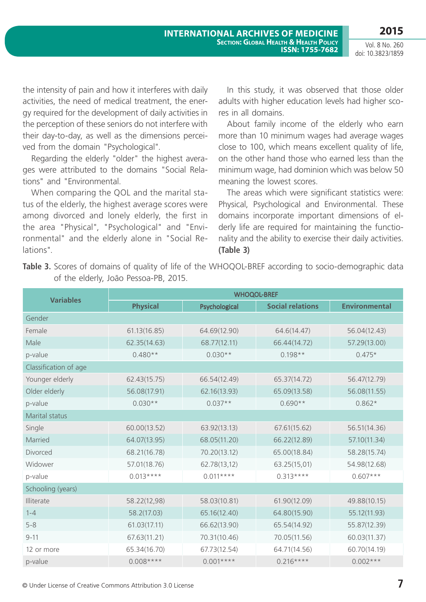the intensity of pain and how it interferes with daily activities, the need of medical treatment, the energy required for the development of daily activities in the perception of these seniors do not interfere with their day-to-day, as well as the dimensions perceived from the domain "Psychological".

Regarding the elderly "older" the highest averages were attributed to the domains "Social Relations" and "Environmental.

When comparing the QOL and the marital status of the elderly, the highest average scores were among divorced and lonely elderly, the first in the area "Physical", "Psychological" and "Environmental" and the elderly alone in "Social Relations".

In this study, it was observed that those older adults with higher education levels had higher scores in all domains.

About family income of the elderly who earn more than 10 minimum wages had average wages close to 100, which means excellent quality of life, on the other hand those who earned less than the minimum wage, had dominion which was below 50 meaning the lowest scores.

The areas which were significant statistics were: Physical, Psychological and Environmental. These domains incorporate important dimensions of elderly life are required for maintaining the functionality and the ability to exercise their daily activities. **(Table 3)**

Table 3. Scores of domains of quality of life of the WHOQOL-BREF according to socio-demographic data of the elderly, João Pessoa-PB, 2015.

| <b>Variables</b>      | <b>WHOQOL-BREF</b> |               |                         |                      |  |  |
|-----------------------|--------------------|---------------|-------------------------|----------------------|--|--|
|                       | <b>Physical</b>    | Psychological | <b>Social relations</b> | <b>Environmental</b> |  |  |
| Gender                |                    |               |                         |                      |  |  |
| Female                | 61.13(16.85)       | 64.69(12.90)  | 64.6(14.47)             | 56.04(12.43)         |  |  |
| Male                  | 62.35(14.63)       | 68.77(12.11)  | 66.44(14.72)            | 57.29(13.00)         |  |  |
| p-value               | $0.480**$          | $0.030**$     | $0.198**$               | $0.475*$             |  |  |
| Classification of age |                    |               |                         |                      |  |  |
| Younger elderly       | 62.43(15.75)       | 66.54(12.49)  | 65.37(14.72)            | 56.47(12.79)         |  |  |
| Older elderly         | 56.08(17.91)       | 62.16(13.93)  | 65.09(13.58)            | 56.08(11.55)         |  |  |
| p-value               | $0.030**$          | $0.037**$     | $0.690**$               | $0.862*$             |  |  |
| Marital status        |                    |               |                         |                      |  |  |
| Single                | 60.00(13.52)       | 63.92(13.13)  | 67.61(15.62)            | 56.51(14.36)         |  |  |
| Married               | 64.07(13.95)       | 68.05(11.20)  | 66.22(12.89)            | 57.10(11.34)         |  |  |
| Divorced              | 68.21(16.78)       | 70.20(13.12)  | 65.00(18.84)            | 58.28(15.74)         |  |  |
| Widower               | 57.01(18.76)       | 62.78(13,12)  | 63.25(15,01)            | 54.98(12.68)         |  |  |
| p-value               | $0.013***$         | $0.011***$    | $0.313***$              | $0.607***$           |  |  |
| Schooling (years)     |                    |               |                         |                      |  |  |
| Illiterate            | 58.22(12,98)       | 58.03(10.81)  | 61.90(12.09)            | 49.88(10.15)         |  |  |
| $1 - 4$               | 58.2(17.03)        | 65.16(12.40)  | 64.80(15.90)            | 55.12(11.93)         |  |  |
| $5 - 8$               | 61.03(17.11)       | 66.62(13.90)  | 65.54(14.92)            | 55.87(12.39)         |  |  |
| $9 - 11$              | 67.63(11.21)       | 70.31(10.46)  | 70.05(11.56)            | 60.03(11.37)         |  |  |
| 12 or more            | 65.34(16.70)       | 67.73(12.54)  | 64.71(14.56)            | 60.70(14.19)         |  |  |
| p-value               | $0.008***$         | $0.001***$    | $0.216***$              | $0.002***$           |  |  |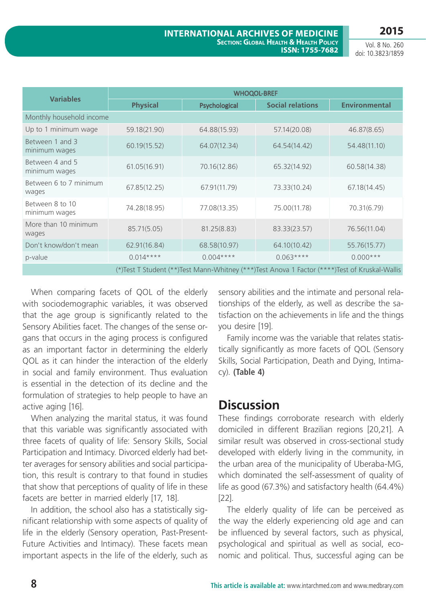| <b>Variables</b>                                                                              | <b>WHOQOL-BREF</b> |               |                         |                      |  |  |
|-----------------------------------------------------------------------------------------------|--------------------|---------------|-------------------------|----------------------|--|--|
|                                                                                               | <b>Physical</b>    | Psychological | <b>Social relations</b> | <b>Environmental</b> |  |  |
| Monthly household income                                                                      |                    |               |                         |                      |  |  |
| Up to 1 minimum wage                                                                          | 59.18(21.90)       | 64.88(15.93)  | 57.14(20.08)            | 46.87(8.65)          |  |  |
| Between 1 and 3<br>minimum wages                                                              | 60.19(15.52)       | 64.07(12.34)  | 64.54(14.42)            | 54.48(11.10)         |  |  |
| Between 4 and 5<br>minimum wages                                                              | 61.05(16.91)       | 70.16(12.86)  | 65.32(14.92)            | 60.58(14.38)         |  |  |
| Between 6 to 7 minimum<br>wages                                                               | 67.85(12.25)       | 67.91(11.79)  | 73.33(10.24)            | 67.18(14.45)         |  |  |
| Between 8 to 10<br>minimum wages                                                              | 74.28(18.95)       | 77.08(13.35)  | 75.00(11.78)            | 70.31(6.79)          |  |  |
| More than 10 minimum<br>wages                                                                 | 85.71(5.05)        | 81.25(8.83)   | 83.33(23.57)            | 76.56(11.04)         |  |  |
| Don't know/don't mean                                                                         | 62.91(16.84)       | 68.58(10.97)  | 64.10(10.42)            | 55.76(15.77)         |  |  |
| p-value                                                                                       | $0.014***$         | $0.004***$    | $0.063***$              | $0.000***$           |  |  |
| (*)Test T Student (**)Test Mann-Whitney (***)Test Anova 1 Factor (****)Test of Kruskal-Wallis |                    |               |                         |                      |  |  |

When comparing facets of QOL of the elderly with sociodemographic variables, it was observed that the age group is significantly related to the Sensory Abilities facet. The changes of the sense organs that occurs in the aging process is configured as an important factor in determining the elderly QOL as it can hinder the interaction of the elderly in social and family environment. Thus evaluation is essential in the detection of its decline and the formulation of strategies to help people to have an active aging [16].

When analyzing the marital status, it was found that this variable was significantly associated with three facets of quality of life: Sensory Skills, Social Participation and Intimacy. Divorced elderly had better averages for sensory abilities and social participation, this result is contrary to that found in studies that show that perceptions of quality of life in these facets are better in married elderly [17, 18].

In addition, the school also has a statistically significant relationship with some aspects of quality of life in the elderly (Sensory operation, Past-Present-Future Activities and Intimacy). These facets mean important aspects in the life of the elderly, such as sensory abilities and the intimate and personal relationships of the elderly, as well as describe the satisfaction on the achievements in life and the things you desire [19].

Family income was the variable that relates statistically significantly as more facets of QOL (Sensory Skills, Social Participation, Death and Dying, Intimacy). **(Table 4)**

### **Discussion**

These findings corroborate research with elderly domiciled in different Brazilian regions [20,21]. A similar result was observed in cross-sectional study developed with elderly living in the community, in the urban area of the municipality of Uberaba-MG, which dominated the self-assessment of quality of life as good (67.3%) and satisfactory health (64.4%) [22].

The elderly quality of life can be perceived as the way the elderly experiencing old age and can be influenced by several factors, such as physical, psychological and spiritual as well as social, economic and political. Thus, successful aging can be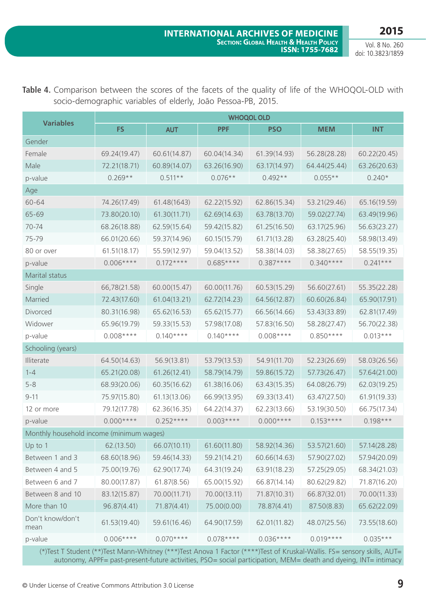| <b>Variables</b>                         | <b>WHOQOL OLD</b> |              |              |              |              |              |  |
|------------------------------------------|-------------------|--------------|--------------|--------------|--------------|--------------|--|
|                                          | <b>FS</b>         | <b>AUT</b>   | <b>PPF</b>   | <b>PSO</b>   | <b>MEM</b>   | <b>INT</b>   |  |
| Gender                                   |                   |              |              |              |              |              |  |
| Female                                   | 69.24(19.47)      | 60.61(14.87) | 60.04(14.34) | 61.39(14.93) | 56.28(28.28) | 60.22(20.45) |  |
| Male                                     | 72.21(18.71)      | 60.89(14.07) | 63.26(16.90) | 63.17(14.97) | 64.44(25.44) | 63.26(20.63) |  |
| p-value                                  | $0.269**$         | $0.511**$    | $0.076**$    | $0.492**$    | $0.055**$    | $0.240*$     |  |
| Age                                      |                   |              |              |              |              |              |  |
| 60-64                                    | 74.26(17.49)      | 61.48(1643)  | 62.22(15.92) | 62.86(15.34) | 53.21(29.46) | 65.16(19.59) |  |
| 65-69                                    | 73.80(20.10)      | 61.30(11.71) | 62.69(14.63) | 63.78(13.70) | 59.02(27.74) | 63.49(19.96) |  |
| 70-74                                    | 68.26(18.88)      | 62.59(15.64) | 59.42(15.82) | 61.25(16.50) | 63.17(25.96) | 56.63(23.27) |  |
| 75-79                                    | 66.01(20.66)      | 59.37(14.96) | 60.15(15.79) | 61.71(13.28) | 63.28(25.40) | 58.98(13.49) |  |
| 80 or over                               | 61.51(18.17)      | 55.59(12.97) | 59.04(13.52) | 58.38(14.03) | 58.38(27.65) | 58.55(19.35) |  |
| p-value                                  | $0.006***$        | $0.172***$   | $0.685***$   | $0.387***$   | $0.340***$   | $0.241***$   |  |
| Marital status                           |                   |              |              |              |              |              |  |
| Single                                   | 66,78(21.58)      | 60.00(15.47) | 60.00(11.76) | 60.53(15.29) | 56.60(27.61) | 55.35(22.28) |  |
| Married                                  | 72.43(17.60)      | 61.04(13.21) | 62.72(14.23) | 64.56(12.87) | 60.60(26.84) | 65.90(17.91) |  |
| Divorced                                 | 80.31(16.98)      | 65.62(16.53) | 65.62(15.77) | 66.56(14.66) | 53.43(33.89) | 62.81(17.49) |  |
| Widower                                  | 65.96(19.79)      | 59.33(15.53) | 57.98(17.08) | 57.83(16.50) | 58.28(27.47) | 56.70(22.38) |  |
| p-value                                  | $0.008***$        | $0.140***$   | $0.140***$   | $0.008***$   | $0.850***$   | $0.013***$   |  |
| Schooling (years)                        |                   |              |              |              |              |              |  |
| Illiterate                               | 64.50(14.63)      | 56.9(13.81)  | 53.79(13.53) | 54.91(11.70) | 52.23(26.69) | 58.03(26.56) |  |
| $1 - 4$                                  | 65.21(20.08)      | 61.26(12.41) | 58.79(14.79) | 59.86(15.72) | 57.73(26.47) | 57.64(21.00) |  |
| $5 - 8$                                  | 68.93(20.06)      | 60.35(16.62) | 61.38(16.06) | 63.43(15.35) | 64.08(26.79) | 62.03(19.25) |  |
| $9 - 11$                                 | 75.97(15.80)      | 61.13(13.06) | 66.99(13.95) | 69.33(13.41) | 63.47(27.50) | 61.91(19.33) |  |
| 12 or more                               | 79.12(17.78)      | 62.36(16.35) | 64.22(14.37) | 62.23(13.66) | 53.19(30.50) | 66.75(17.34) |  |
| p-value                                  | $0.000***$        | $0.252***$   | $0.003***$   | $0.000***$   | $0.153***$   | $0.198***$   |  |
| Monthly household income (minimum wages) |                   |              |              |              |              |              |  |
| Up to 1                                  | 62.(13.50)        | 66.07(10.11) | 61.60(11.80) | 58.92(14.36) | 53.57(21.60) | 57.14(28.28) |  |
| Between 1 and 3                          | 68.60(18.96)      | 59.46(14.33) | 59.21(14.21) | 60.66(14.63) | 57.90(27.02) | 57.94(20.09) |  |
| Between 4 and 5                          | 75.00(19.76)      | 62.90(17.74) | 64.31(19.24) | 63.91(18.23) | 57.25(29.05) | 68.34(21.03) |  |
| Between 6 and 7                          | 80.00(17.87)      | 61.87(8.56)  | 65.00(15.92) | 66.87(14.14) | 80.62(29.82) | 71.87(16.20) |  |
| Between 8 and 10                         | 83.12(15.87)      | 70.00(11.71) | 70.00(13.11) | 71.87(10.31) | 66.87(32.01) | 70.00(11.33) |  |
| More than 10                             | 96.87(4.41)       | 71.87(4.41)  | 75.00(0.00)  | 78.87(4.41)  | 87.50(8.83)  | 65.62(22.09) |  |
| Don't know/don't<br>mean                 | 61.53(19.40)      | 59.61(16.46) | 64.90(17.59) | 62.01(11.82) | 48.07(25.56) | 73.55(18.60) |  |
| p-value                                  | $0.006***$        | $0.070***$   | $0.078***$   | $0.036***$   | $0.019***$   | $0.035***$   |  |

Table 4. Comparison between the scores of the facets of the quality of life of the WHOQOL-OLD with socio-demographic variables of elderly, João Pessoa-PB, 2015.

 (\*)Test T Student (\*\*)Test Mann-Whitney (\*\*\*)Test Anova 1 Factor (\*\*\*\*)Test of Kruskal-Wallis. FS= sensory skills, AUT= autonomy, APPF= past-present-future activities, PSO= social participation, MEM= death and dyeing, INT= intimacy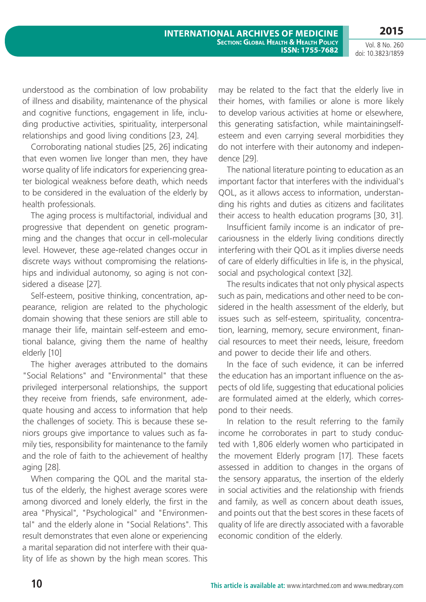Vol. 8 No. 260 doi: 10.3823/1859

understood as the combination of low probability of illness and disability, maintenance of the physical and cognitive functions, engagement in life, including productive activities, spirituality, interpersonal relationships and good living conditions [23, 24].

Corroborating national studies [25, 26] indicating that even women live longer than men, they have worse quality of life indicators for experiencing greater biological weakness before death, which needs to be considered in the evaluation of the elderly by health professionals.

The aging process is multifactorial, individual and progressive that dependent on genetic programming and the changes that occur in cell-molecular level. However, these age-related changes occur in discrete ways without compromising the relationships and individual autonomy, so aging is not considered a disease [27].

Self-esteem, positive thinking, concentration, appearance, religion are related to the phychologic domain showing that these seniors are still able to manage their life, maintain self-esteem and emotional balance, giving them the name of healthy elderly [10]

The higher averages attributed to the domains "Social Relations" and "Environmental" that these privileged interpersonal relationships, the support they receive from friends, safe environment, adequate housing and access to information that help the challenges of society. This is because these seniors groups give importance to values such as family ties, responsibility for maintenance to the family and the role of faith to the achievement of healthy aging [28].

When comparing the QOL and the marital status of the elderly, the highest average scores were among divorced and lonely elderly, the first in the area "Physical", "Psychological" and "Environmental" and the elderly alone in "Social Relations". This result demonstrates that even alone or experiencing a marital separation did not interfere with their quality of life as shown by the high mean scores. This may be related to the fact that the elderly live in their homes, with families or alone is more likely to develop various activities at home or elsewhere, this generating satisfaction, while maintainingselfesteem and even carrying several morbidities they do not interfere with their autonomy and independence [29].

The national literature pointing to education as an important factor that interferes with the individual's QOL, as it allows access to information, understanding his rights and duties as citizens and facilitates their access to health education programs [30, 31].

Insufficient family income is an indicator of precariousness in the elderly living conditions directly interfering with their QOL as it implies diverse needs of care of elderly difficulties in life is, in the physical, social and psychological context [32].

The results indicates that not only physical aspects such as pain, medications and other need to be considered in the health assessment of the elderly, but issues such as self-esteem, spirituality, concentration, learning, memory, secure environment, financial resources to meet their needs, leisure, freedom and power to decide their life and others.

In the face of such evidence, it can be inferred the education has an important influence on the aspects of old life, suggesting that educational policies are formulated aimed at the elderly, which correspond to their needs.

In relation to the result referring to the family income he corroborates in part to study conducted with 1,806 elderly women who participated in the movement Elderly program [17]. These facets assessed in addition to changes in the organs of the sensory apparatus, the insertion of the elderly in social activities and the relationship with friends and family, as well as concern about death issues, and points out that the best scores in these facets of quality of life are directly associated with a favorable economic condition of the elderly.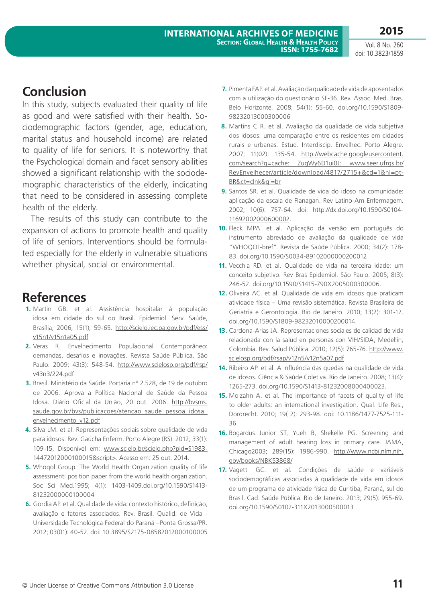**2015**

### **Conclusion**

In this study, subjects evaluated their quality of life as good and were satisfied with their health. Sociodemographic factors (gender, age, education, marital status and household income) are related to quality of life for seniors. It is noteworthy that the Psychological domain and facet sensory abilities showed a significant relationship with the sociodemographic characteristics of the elderly, indicating that need to be considered in assessing complete health of the elderly.

The results of this study can contribute to the expansion of actions to promote health and quality of life of seniors. Interventions should be formulated especially for the elderly in vulnerable situations whether physical, social or environmental.

### **References**

- **1.** Martin GB. et al. Assistência hospitalar à população idosa em cidade do sul do Brasil. Epidemiol. Serv. Saúde, Brasília, 2006; 15(1); 59-65. [http://scielo.iec.pa.gov.br/pdf/ess/](Http://scielo.iec.pa.gov.br/pdf/ess/v15n1/v15n1a05.pdf) [v15n1/v15n1a05.pdf](Http://scielo.iec.pa.gov.br/pdf/ess/v15n1/v15n1a05.pdf)
- **2.** Veras R. Envelhecimento Populacional Contemporâneo: demandas, desafios e inovações. Revista Saúde Pública, São Paulo. 2009; 43(3): 548-54. [http://www.scielosp.org/pdf/rsp/](http://www.scielosp.org/pdf/rsp/v43n3/224.pdf) [v43n3/224.pdf](http://www.scielosp.org/pdf/rsp/v43n3/224.pdf)
- **3.** Brasil. Ministério da Saúde. Portaria nº 2.528, de 19 de outubro de 2006. Aprova a Política Nacional de Saúde da Pessoa Idosa. Diário Oficial da União, 20 out. 2006. [http://bvsms.](http://bvsms.saude.gov.br/bvs/publicacoes/atencao_saude_pessoa_idosa_envelhecimento_v12.pdf) [saude.gov.br/bvs/publicacoes/atencao\\_saude\\_pessoa\\_idosa\\_](http://bvsms.saude.gov.br/bvs/publicacoes/atencao_saude_pessoa_idosa_envelhecimento_v12.pdf) [envelhecimento\\_v12.pdf](http://bvsms.saude.gov.br/bvs/publicacoes/atencao_saude_pessoa_idosa_envelhecimento_v12.pdf)
- **4.** Silva LM. et al. Representações sociais sobre qualidade de vida para idosos. Rev. Gaúcha Enferm. Porto Alegre (RS). 2012; 33(1): 109-15, Disponível em: www.scielo.br/scielo.php?pid=S1983- 14472012000100015&script>. Acesso em: 25 out. 2014.
- **5.** Whoqol Group. The World Health Organization quality of life assessment: position paper from the world health organization. Soc Sci Med.1995; 4(1): 1403-1409.doi.org/10.1590/S1413- 81232000000100004
- **6.** Gordia AP. et al. Qualidade de vida: contexto histórico, definição, avaliação e fatores associados. Rev. Brasil. Qualid. de Vida - Universidade Tecnológica Federal do Paraná –Ponta Grossa/PR. 2012; 03(01): 40-52. doi: 10.3895/S2175-08582012000100005
- **7.** Pimenta FAP. et al. Avaliação da qualidade de vida de aposentados com a utilização do questionário SF-36. Rev. Assoc. Med. Bras. Belo Horizonte. 2008; 54(1): 55-60. doi.org/10.1590/S1809- 98232013000300006
- **8.** Martins C R. et al. Avaliação da qualidade de vida subjetiva dos idosos: uma comparação entre os residentes em cidades rurais e urbanas. Estud. Interdiscip. Envelhec. Porto Alegre. 2007; 11(02): 135-54. [http://webcache.googleusercontent.](http://webcache.googleusercontent.com/search?q=cache: ZugWy6D1ui0J: www.seer.ufrgs.br/RevEnvelhecer/article/download/4817/2715+&cd=1&hl=pt-BR&ct=clnk&gl=br) [com/search?q=cache: ZugWy6D1ui0J: www.seer.ufrgs.br/](http://webcache.googleusercontent.com/search?q=cache: ZugWy6D1ui0J: www.seer.ufrgs.br/RevEnvelhecer/article/download/4817/2715+&cd=1&hl=pt-BR&ct=clnk&gl=br) [RevEnvelhecer/article/download/4817/2715+&cd=1&hl=pt-](http://webcache.googleusercontent.com/search?q=cache: ZugWy6D1ui0J: www.seer.ufrgs.br/RevEnvelhecer/article/download/4817/2715+&cd=1&hl=pt-BR&ct=clnk&gl=br)[BR&ct=clnk&gl=br](http://webcache.googleusercontent.com/search?q=cache: ZugWy6D1ui0J: www.seer.ufrgs.br/RevEnvelhecer/article/download/4817/2715+&cd=1&hl=pt-BR&ct=clnk&gl=br)
- **9.** Santos SR. et al. Qualidade de vida do idoso na comunidade: aplicação da escala de Flanagan. Rev Latino-Am Enfermagem. 2002; 10(6): 757-64. doi: [http://dx.doi.org/10.1590/S0104-](http://dx.doi.org/10.1590/S0104-11692002000600002) [11692002000600002.](http://dx.doi.org/10.1590/S0104-11692002000600002)
- **10.** Fleck MPA. et al. Aplicação da versão em português do instrumento abreviado de avaliação da qualidade de vida "WHOQOL-bref". Revista de Saúde Pública. 2000; 34(2): 178- 83. doi.org/10.1590/S0034-89102000000200012
- **11.** Vecchia RD. et al. Qualidade de vida na terceira idade: um conceito subjetivo. Rev Bras Epidemiol. São Paulo. 2005; 8(3): 246-52. doi.org/10.1590/S1415-790X2005000300006.
- **12.** Oliveira AC. et al. Qualidade de vida em idosos que praticam atividade física – Uma revisão sistemática. Revista Brasileira de Geriatria e Gerontologia. Rio de Janeiro. 2010; 13(2): 301-12. doi.org/10.1590/S1809-98232010000200014.
- **13.** Cardona-Arias JA. Representaciones sociales de calidad de vida relacionada con la salud en personas con VIH/SIDA, Medellín, Colombia. Rev. Salud Pública. 2010; 12(5): 765-76. [http://www.](http://www.scielosp.org/pdf/rsap/v12n5/v12n5a07.pdf) [scielosp.org/pdf/rsap/v12n5/v12n5a07.pdf](http://www.scielosp.org/pdf/rsap/v12n5/v12n5a07.pdf)
- **14.** Ribeiro AP. et al. A influência das quedas na qualidade de vida de idosos. Ciência & Saúde Coletiva. Rio de Janeiro. 2008; 13(4): 1265-273. doi.org/10.1590/S1413-81232008000400023.
- **15.** Molzahn A. et al. The importance of facets of quality of life to older adults: an international investigation. Qual. Life Res., Dordrecht. 2010; 19( 2): 293-98. doi: 10.1186/1477-7525-111- 36
- **16.** Bogardus Junior ST, Yueh B, Shekelle PG. Screening and management of adult hearing loss in primary care. JAMA, Chicago2003; 289(15): 1986-990. [http://www.ncbi.nlm.nih.](http://www.ncbi.nlm.nih.gov/books/NBK53868/) [gov/books/NBK53868/](http://www.ncbi.nlm.nih.gov/books/NBK53868/)
- **17.** Vagetti GC. et al. Condições de saúde e variáveis sociodemográficas associadas à qualidade de vida em idosos de um programa de atividade física de Curitiba, Paraná, sul do Brasil. Cad. Saúde Pública. Rio de Janeiro. 2013; 29(5): 955-69. doi.org/10.1590/S0102-311X2013000500013